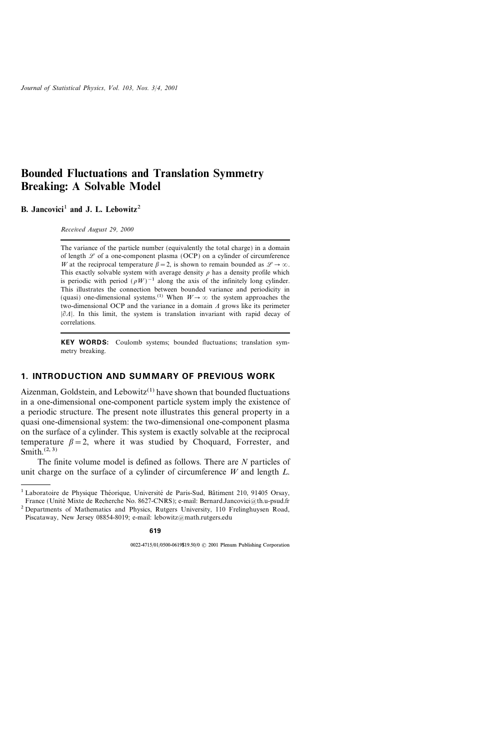# Bounded Fluctuations and Translation Symmetry Breaking: A Solvable Model

B. Jancovici<sup>1</sup> and J. L. Lebowitz<sup>2</sup>

Received August 29, 2000

The variance of the particle number (equivalently the total charge) in a domain of length  $\mathscr L$  of a one-component plasma (OCP) on a cylinder of circumference W at the reciprocal temperature  $\beta = 2$ , is shown to remain bounded as  $\mathscr{L} \to \infty$ . This exactly solvable system with average density  $\rho$  has a density profile which is periodic with period  $(\rho W)^{-1}$  along the axis of the infinitely long cylinder. This illustrates the connection between bounded variance and periodicity in (quasi) one-dimensional systems.<sup>(1)</sup> When  $W \rightarrow \infty$  the system approaches the two-dimensional OCP and the variance in a domain  $\Lambda$  grows like its perimeter  $|\partial A|$ . In this limit, the system is translation invariant with rapid decay of correlations.

KEY WORDS: Coulomb systems; bounded fluctuations; translation symmetry breaking.

## 1. INTRODUCTION AND SUMMARY OF PREVIOUS WORK

Aizenman, Goldstein, and Lebowitz<sup> $(1)$ </sup> have shown that bounded fluctuations in a one-dimensional one-component particle system imply the existence of a periodic structure. The present note illustrates this general property in a quasi one-dimensional system: the two-dimensional one-component plasma on the surface of a cylinder. This system is exactly solvable at the reciprocal temperature  $\beta = 2$ , where it was studied by Choquard, Forrester, and Smith $(2, 3)$ 

The finite volume model is defined as follows. There are N particles of unit charge on the surface of a cylinder of circumference  $W$  and length  $L$ .

<sup>&</sup>lt;sup>1</sup> Laboratoire de Physique Théorique, Université de Paris-Sud, Bâtiment 210, 91405 Orsay, France (Unité Mixte de Recherche No. 8627-CNRS); e-mail: Bernard.Jancovici@th.u-psud.fr

<sup>2</sup> Departments of Mathematics and Physics, Rutgers University, 110 Frelinghuysen Road, Piscataway, New Jersey 08854-8019; e-mail: lebowitz@math.rutgers.edu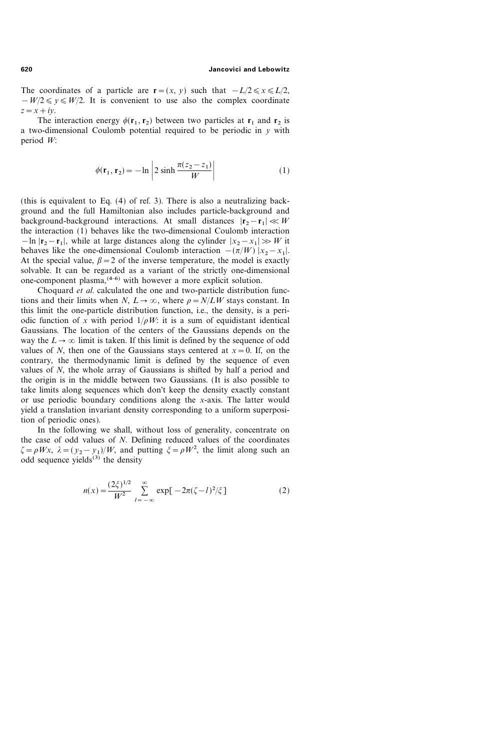The coordinates of a particle are  $\mathbf{r} = (x, y)$  such that  $-L/2 \le x \le L/2$ ,  $-W/2 \leq v \leq W/2$ . It is convenient to use also the complex coordinate  $z=x+i\mathfrak{v}$ .

The interaction energy  $\phi(\mathbf{r}_1, \mathbf{r}_2)$  between two particles at  $\mathbf{r}_1$  and  $\mathbf{r}_2$  is a two-dimensional Coulomb potential required to be periodic in  $y$  with period W:

$$
\phi(\mathbf{r}_1, \mathbf{r}_2) = -\ln\left|2\sinh\frac{\pi(z_2 - z_1)}{W}\right|\tag{1}
$$

(this is equivalent to Eq. (4) of ref. 3). There is also a neutralizing background and the full Hamiltonian also includes particle-background and background-background interactions. At small distances  $|\mathbf{r}_2 - \mathbf{r}_1| \ll W$ the interaction (1) behaves like the two-dimensional Coulomb interaction  $-\ln |\mathbf{r}_2 - \mathbf{r}_1|$ , while at large distances along the cylinder  $|x_2 - x_1| \gg W$  it behaves like the one-dimensional Coulomb interaction  $-(\pi/W) |x_2-x_1|$ . At the special value,  $\beta = 2$  of the inverse temperature, the model is exactly solvable. It can be regarded as a variant of the strictly one-dimensional one-component plasma,  $(4-6)$  with however a more explicit solution.

Choquard et al. calculated the one and two-particle distribution functions and their limits when N,  $L \to \infty$ , where  $\rho = N/LW$  stays constant. In this limit the one-particle distribution function, i.e., the density, is a periodic function of x with period  $1/\rho W$ : it is a sum of equidistant identical Gaussians. The location of the centers of the Gaussians depends on the way the  $L \rightarrow \infty$  limit is taken. If this limit is defined by the sequence of odd values of N, then one of the Gaussians stays centered at  $x=0$ . If, on the contrary, the thermodynamic limit is defined by the sequence of even values of N, the whole array of Gaussians is shifted by half a period and the origin is in the middle between two Gaussians. (It is also possible to take limits along sequences which don't keep the density exactly constant or use periodic boundary conditions along the x-axis. The latter would yield a translation invariant density corresponding to a uniform superposition of periodic ones).

In the following we shall, without loss of generality, concentrate on the case of odd values of N. Defining reduced values of the coordinates  $\zeta = \rho Wx$ ,  $\lambda = (y_2 - y_1)/W$ , and putting  $\xi = \rho W^2$ , the limit along such an odd sequence yields $^{(3)}$  the density

$$
n(x) = \frac{(2\xi)^{1/2}}{W^2} \sum_{l=-\infty}^{\infty} \exp[-2\pi(\zeta - l)^2/\zeta] \tag{2}
$$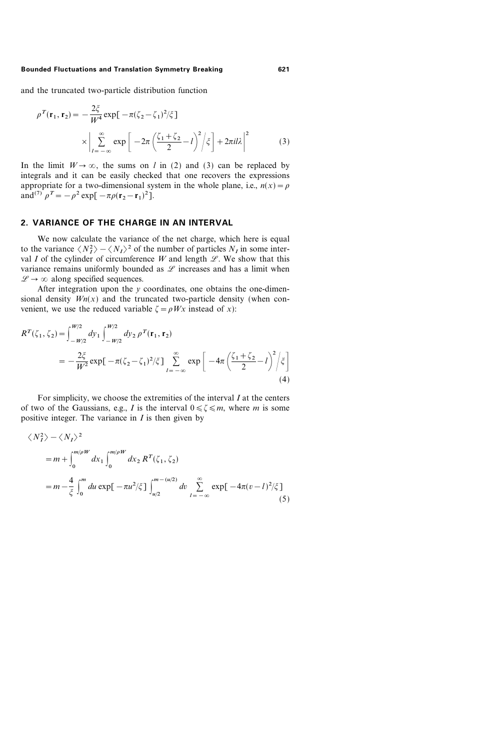#### Bounded Fluctuations and Translation Symmetry Breaking 621

and the truncated two-particle distribution function

$$
\rho^{T}(\mathbf{r}_{1}, \mathbf{r}_{2}) = -\frac{2\xi}{W^{4}} \exp[-\pi(\zeta_{2} - \zeta_{1})^{2}/\zeta]
$$

$$
\times \left| \sum_{l=-\infty}^{\infty} \exp\left[-2\pi\left(\frac{\zeta_{1} + \zeta_{2}}{2} - l\right)^{2} / \zeta\right] + 2\pi i l \lambda\right|^{2} \tag{3}
$$

In the limit  $W \to \infty$ , the sums on l in (2) and (3) can be replaced by integrals and it can be easily checked that one recovers the expressions appropriate for a two-dimensional system in the whole plane, i.e.,  $n(x) = \rho$ and<sup>(7)</sup>  $\rho^T = -\rho^2 \exp[-\pi \rho (r_2 - r_1)^2]$ .

### 2. VARIANCE OF THE CHARGE IN AN INTERVAL

We now calculate the variance of the net charge, which here is equal to the variance  $\langle N_I^2 \rangle - \langle N_I \rangle^2$  of the number of particles  $N_I$  in some interval I of the cylinder of circumference W and length  $\mathscr{L}$ . We show that this variance remains uniformly bounded as  $L$  increases and has a limit when  $\mathscr{L} \to \infty$  along specified sequences.

After integration upon the  $y$  coordinates, one obtains the one-dimensional density  $Wn(x)$  and the truncated two-particle density (when convenient, we use the reduced variable  $\zeta = \rho Wx$  instead of x):

$$
R^{T}(\zeta_{1}, \zeta_{2}) = \int_{-W/2}^{W/2} dy_{1} \int_{-W/2}^{W/2} dy_{2} \rho^{T}(\mathbf{r}_{1}, \mathbf{r}_{2})
$$
  
= 
$$
-\frac{2\xi}{W^{2}} \exp[-\pi(\zeta_{2} - \zeta_{1})^{2}/\xi] \sum_{l=-\infty}^{\infty} \exp\left[-4\pi\left(\frac{\zeta_{1} + \zeta_{2}}{2} - l\right)^{2}/\xi\right]
$$
(4)

For simplicity, we choose the extremities of the interval  $I$  at the centers of two of the Gaussians, e.g., I is the interval  $0 \le \zeta \le m$ , where m is some positive integer. The variance in  $I$  is then given by

$$
\langle N_I^2 \rangle - \langle N_I \rangle^2
$$
  
=  $m + \int_0^{m/pW} dx_1 \int_0^{m/pW} dx_2 R^T(\zeta_1, \zeta_2)$   
=  $m - \frac{4}{\zeta} \int_0^m du \exp[-\pi u^2/\zeta] \int_{u/2}^{m - (u/2)} dv \sum_{l = -\infty}^{\infty} \exp[-4\pi (v - l)^2/\zeta]$  (5)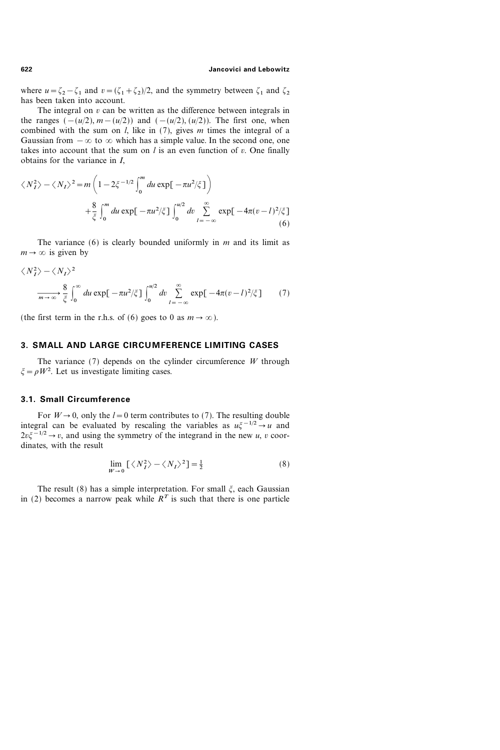#### 622 Jancovici and Lebowitz

where  $u=\zeta_2-\zeta_1$  and  $v=(\zeta_1+\zeta_2)/2$ , and the symmetry between  $\zeta_1$  and  $\zeta_2$ has been taken into account.

The integral on  $v$  can be written as the difference between integrals in the ranges  $(-(u/2), m-(u/2))$  and  $(-(u/2), (u/2))$ . The first one, when combined with the sum on  $l$ , like in (7), gives  $m$  times the integral of a Gaussian from  $-\infty$  to  $\infty$  which has a simple value. In the second one, one takes into account that the sum on  $l$  is an even function of  $v$ . One finally obtains for the variance in I,

$$
\langle N_I^2 \rangle - \langle N_I \rangle^2 = m \left( 1 - 2 \xi^{-1/2} \int_0^m du \exp[-\pi u^2/\xi] \right)
$$
  
 
$$
+ \frac{8}{\xi} \int_0^m du \exp[-\pi u^2/\xi] \int_0^{u/2} dv \sum_{l=-\infty}^{\infty} \exp[-4\pi (v-l)^2/\xi]
$$
(6)

The variance  $(6)$  is clearly bounded uniformly in m and its limit as  $m \rightarrow \infty$  is given by

$$
\langle N_I^2 \rangle - \langle N_I \rangle^2
$$
  

$$
\xrightarrow[m \to \infty]{} \frac{8}{\xi} \int_0^\infty du \exp[-\pi u^2/\xi] \int_0^{u/2} dv \sum_{l=-\infty}^{\infty} \exp[-4\pi (v-l)^2/\xi] \tag{7}
$$

(the first term in the r.h.s. of (6) goes to 0 as  $m \to \infty$ ).

### 3. SMALL AND LARGE CIRCUMFERENCE LIMITING CASES

The variance  $(7)$  depends on the cylinder circumference W through  $\xi = \rho W^2$ . Let us investigate limiting cases.

### 3.1. Small Circumference

For  $W\rightarrow 0$ , only the  $l=0$  term contributes to (7). The resulting double integral can be evaluated by rescaling the variables as  $u \zeta^{-1/2} \rightarrow u$  and  $2v\xi^{-1/2} \rightarrow v$ , and using the symmetry of the integrand in the new u, v coordinates, with the result

$$
\lim_{W \to 0} \left[ \langle N_I^2 \rangle - \langle N_I \rangle^2 \right] = \frac{1}{2} \tag{8}
$$

The result (8) has a simple interpretation. For small  $\xi$ , each Gaussian in (2) becomes a narrow peak while  $R<sup>T</sup>$  is such that there is one particle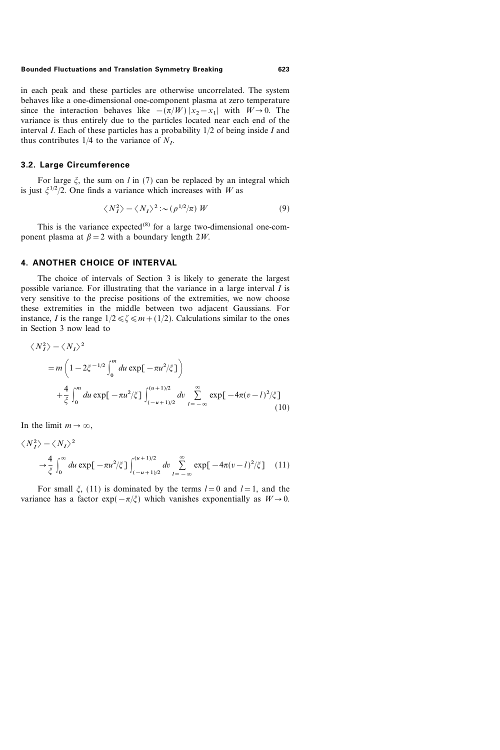#### Bounded Fluctuations and Translation Symmetry Breaking 623

in each peak and these particles are otherwise uncorrelated. The system behaves like a one-dimensional one-component plasma at zero temperature since the interaction behaves like  $-(\pi/W) |x_2-x_1|$  with  $W\to 0$ . The variance is thus entirely due to the particles located near each end of the interval  $I$ . Each of these particles has a probability  $1/2$  of being inside  $I$  and thus contributes  $1/4$  to the variance of  $N<sub>L</sub>$ .

## 3.2. Large Circumference

For large  $\xi$ , the sum on l in (7) can be replaced by an integral which is just  $\xi^{1/2}/2$ . One finds a variance which increases with W as

$$
\langle N_I^2 \rangle - \langle N_I \rangle^2 \sim (\rho^{1/2}/\pi) W \tag{9}
$$

This is the variance expected<sup>(8)</sup> for a large two-dimensional one-component plasma at  $\beta = 2$  with a boundary length 2W.

### 4. ANOTHER CHOICE OF INTERVAL

The choice of intervals of Section 3 is likely to generate the largest possible variance. For illustrating that the variance in a large interval I is very sensitive to the precise positions of the extremities, we now choose these extremities in the middle between two adjacent Gaussians. For instance, I is the range  $1/2 \leq \zeta \leq m+(1/2)$ . Calculations similar to the ones in Section 3 now lead to

$$
\langle N_I^2 \rangle - \langle N_I \rangle^2
$$
  
=  $m \left( 1 - 2 \xi^{-1/2} \int_0^m du \exp[-\pi u^2/\xi] \right)$   
+  $\frac{4}{\xi} \int_0^m du \exp[-\pi u^2/\xi] \int_{(-u+1)/2}^{(u+1)/2} dv \sum_{l=-\infty}^{\infty} \exp[-4\pi (v-l)^2/\xi]$  (10)

In the limit  $m \to \infty$ ,

$$
\langle N_I^2 \rangle - \langle N_I \rangle^2
$$
  
\n
$$
\rightarrow \frac{4}{\xi} \int_0^\infty du \exp[-\pi u^2/\xi] \int_{(-u+1)/2}^{(u+1)/2} dv \sum_{l=-\infty}^\infty \exp[-4\pi (v-l)^2/\xi] \quad (11)
$$

For small  $\xi$ , (11) is dominated by the terms  $l=0$  and  $l=1$ , and the variance has a factor  $\exp(-\pi/\xi)$  which vanishes exponentially as  $W\to 0$ .